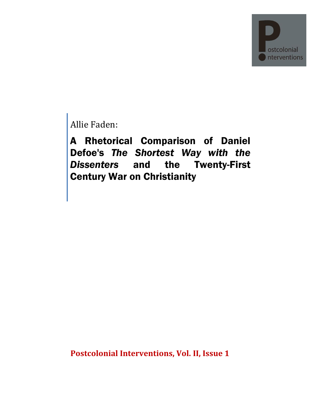

Allie Faden:

A Rhetorical Comparison of Daniel Defoe's *The Shortest Way with the Dissenters* and the Twenty-First Century War on Christianity

**Postcolonial Interventions, Vol. II, Issue 1**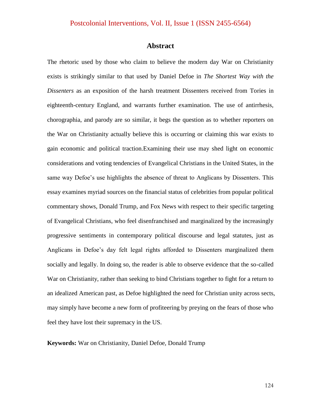#### **Abstract**

The rhetoric used by those who claim to believe the modern day War on Christianity exists is strikingly similar to that used by Daniel Defoe in *The Shortest Way with the Dissenters* as an exposition of the harsh treatment Dissenters received from Tories in eighteenth-century England, and warrants further examination. The use of antirrhesis, chorographia, and parody are so similar, it begs the question as to whether reporters on the War on Christianity actually believe this is occurring or claiming this war exists to gain economic and political traction.Examining their use may shed light on economic considerations and voting tendencies of Evangelical Christians in the United States, in the same way Defoe's use highlights the absence of threat to Anglicans by Dissenters. This essay examines myriad sources on the financial status of celebrities from popular political commentary shows, Donald Trump, and Fox News with respect to their specific targeting of Evangelical Christians, who feel disenfranchised and marginalized by the increasingly progressive sentiments in contemporary political discourse and legal statutes, just as Anglicans in Defoe"s day felt legal rights afforded to Dissenters marginalized them socially and legally. In doing so, the reader is able to observe evidence that the so-called War on Christianity, rather than seeking to bind Christians together to fight for a return to an idealized American past, as Defoe highlighted the need for Christian unity across sects, may simply have become a new form of profiteering by preying on the fears of those who feel they have lost their supremacy in the US.

**Keywords:** War on Christianity, Daniel Defoe, Donald Trump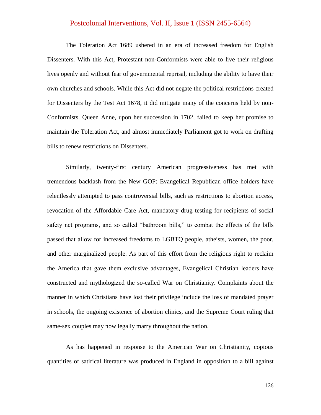The Toleration Act 1689 ushered in an era of increased freedom for English Dissenters. With this Act, Protestant non-Conformists were able to live their religious lives openly and without fear of governmental reprisal, including the ability to have their own churches and schools. While this Act did not negate the political restrictions created for Dissenters by the Test Act 1678, it did mitigate many of the concerns held by non-Conformists. Queen Anne, upon her succession in 1702, failed to keep her promise to maintain the Toleration Act, and almost immediately Parliament got to work on drafting bills to renew restrictions on Dissenters.

Similarly, twenty-first century American progressiveness has met with tremendous backlash from the New GOP: Evangelical Republican office holders have relentlessly attempted to pass controversial bills, such as restrictions to abortion access, revocation of the Affordable Care Act, mandatory drug testing for recipients of social safety net programs, and so called "bathroom bills," to combat the effects of the bills passed that allow for increased freedoms to LGBTQ people, atheists, women, the poor, and other marginalized people. As part of this effort from the religious right to reclaim the America that gave them exclusive advantages, Evangelical Christian leaders have constructed and mythologized the so-called War on Christianity. Complaints about the manner in which Christians have lost their privilege include the loss of mandated prayer in schools, the ongoing existence of abortion clinics, and the Supreme Court ruling that same-sex couples may now legally marry throughout the nation.

As has happened in response to the American War on Christianity, copious quantities of satirical literature was produced in England in opposition to a bill against

126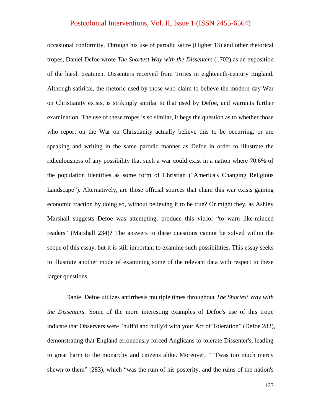occasional conformity. Through his use of parodic satire (Highet 13) and other rhetorical tropes, Daniel Defoe wrote *The Shortest Way with the Dissenters* (1702) as an exposition of the harsh treatment Dissenters received from Tories in eighteenth-century England. Although satirical, the rhetoric used by those who claim to believe the modern-day War on Christianity exists, is strikingly similar to that used by Defoe, and warrants further examination. The use of these tropes is so similar, it begs the question as to whether those who report on the War on Christianity actually believe this to be occurring, or are speaking and writing in the same parodic manner as Defoe in order to illustrate the ridiculousness of any possibility that such a war could exist in a nation where 70.6% of the population identifies as some form of Christian ("America's Changing Religious Landscape"). Alternatively, are those official sources that claim this war exists gaining economic traction by doing so, without believing it to be true? Or might they, as Ashley Marshall suggests Defoe was attempting, produce this vitriol "to warn like-minded readers" (Marshall 234)? The answers to these questions cannot be solved within the scope of this essay, but it is still important to examine such possibilities. This essay seeks to illustrate another mode of examining some of the relevant data with respect to these larger questions.

Daniel Defoe utilizes antirrhesis multiple times throughout *The Shortest Way with the Dissenters.* Some of the more interesting examples of Defoe's use of this trope indicate that Observers were "huff'd and bully'd with your Act of Toleration" (Defoe 282), demonstrating that England erroneously forced Anglicans to tolerate Dissenter's, leading to great harm to the monarchy and citizens alike. Moreover, " 'Twas too much mercy shewn to them" (283), which "was the ruin of his posterity, and the ruins of the nation's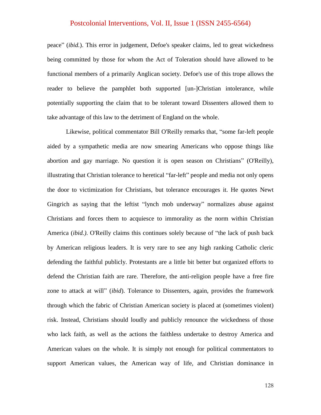peace" (*ibid.*). This error in judgement, Defoe's speaker claims, led to great wickedness being committed by those for whom the Act of Toleration should have allowed to be functional members of a primarily Anglican society. Defoe's use of this trope allows the reader to believe the pamphlet both supported [un-]Christian intolerance, while potentially supporting the claim that to be tolerant toward Dissenters allowed them to take advantage of this law to the detriment of England on the whole.

Likewise, political commentator Bill O'Reilly remarks that, "some far-left people aided by a sympathetic media are now smearing Americans who oppose things like abortion and gay marriage. No question it is open season on Christians" (O'Reilly), illustrating that Christian tolerance to heretical "far-left" people and media not only opens the door to victimization for Christians, but tolerance encourages it. He quotes Newt Gingrich as saying that the leftist "lynch mob underway" normalizes abuse against Christians and forces them to acquiesce to immorality as the norm within Christian America (*ibid.)*. O'Reilly claims this continues solely because of "the lack of push back by American religious leaders. It is very rare to see any high ranking Catholic cleric defending the faithful publicly. Protestants are a little bit better but organized efforts to defend the Christian faith are rare. Therefore, the anti-religion people have a free fire zone to attack at will" (*ibid*). Tolerance to Dissenters, again, provides the framework through which the fabric of Christian American society is placed at (sometimes violent) risk. Instead, Christians should loudly and publicly renounce the wickedness of those who lack faith, as well as the actions the faithless undertake to destroy America and American values on the whole. It is simply not enough for political commentators to support American values, the American way of life, and Christian dominance in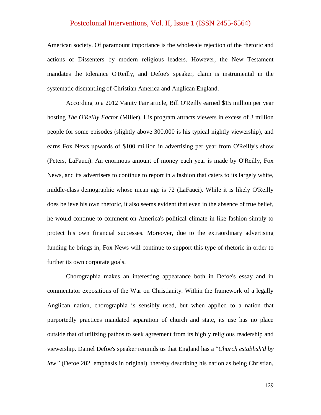American society. Of paramount importance is the wholesale rejection of the rhetoric and actions of Dissenters by modern religious leaders. However, the New Testament mandates the tolerance O'Reilly, and Defoe's speaker, claim is instrumental in the systematic dismantling of Christian America and Anglican England.

According to a 2012 Vanity Fair article, Bill O'Reilly earned \$15 million per year hosting *The O'Reilly Factor* (Miller). His program attracts viewers in excess of 3 million people for some episodes (slightly above 300,000 is his typical nightly viewership), and earns Fox News upwards of \$100 million in advertising per year from O'Reilly's show (Peters, LaFauci). An enormous amount of money each year is made by O'Reilly, Fox News, and its advertisers to continue to report in a fashion that caters to its largely white, middle-class demographic whose mean age is 72 (LaFauci). While it is likely O'Reilly does believe his own rhetoric, it also seems evident that even in the absence of true belief, he would continue to comment on America's political climate in like fashion simply to protect his own financial successes. Moreover, due to the extraordinary advertising funding he brings in, Fox News will continue to support this type of rhetoric in order to further its own corporate goals.

Chorographia makes an interesting appearance both in Defoe's essay and in commentator expositions of the War on Christianity. Within the framework of a legally Anglican nation, chorographia is sensibly used, but when applied to a nation that purportedly practices mandated separation of church and state, its use has no place outside that of utilizing pathos to seek agreement from its highly religious readership and viewership. Daniel Defoe's speaker reminds us that England has a "*Church establish'd by law*" (Defoe 282, emphasis in original), thereby describing his nation as being Christian,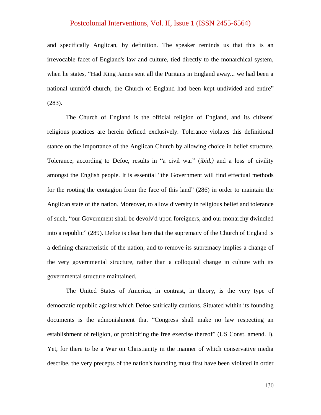and specifically Anglican, by definition. The speaker reminds us that this is an irrevocable facet of England's law and culture, tied directly to the monarchical system, when he states, "Had King James sent all the Puritans in England away... we had been a national unmix'd church; the Church of England had been kept undivided and entire" (283).

The Church of England is the official religion of England, and its citizens' religious practices are herein defined exclusively. Tolerance violates this definitional stance on the importance of the Anglican Church by allowing choice in belief structure. Tolerance, according to Defoe, results in "a civil war" (*ibid.)* and a loss of civility amongst the English people. It is essential "the Government will find effectual methods for the rooting the contagion from the face of this land" (286) in order to maintain the Anglican state of the nation. Moreover, to allow diversity in religious belief and tolerance of such, "our Government shall be devolv'd upon foreigners, and our monarchy dwindled into a republic" (289). Defoe is clear here that the supremacy of the Church of England is a defining characteristic of the nation, and to remove its supremacy implies a change of the very governmental structure, rather than a colloquial change in culture with its governmental structure maintained.

The United States of America, in contrast, in theory, is the very type of democratic republic against which Defoe satirically cautions. Situated within its founding documents is the admonishment that "Congress shall make no law respecting an establishment of religion, or prohibiting the free exercise thereof" (US Const. amend. I). Yet, for there to be a War on Christianity in the manner of which conservative media describe, the very precepts of the nation's founding must first have been violated in order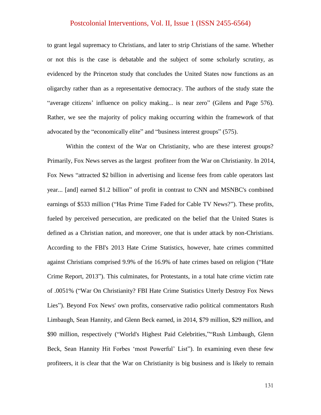to grant legal supremacy to Christians, and later to strip Christians of the same. Whether or not this is the case is debatable and the subject of some scholarly scrutiny, as evidenced by the Princeton study that concludes the United States now functions as an oligarchy rather than as a representative democracy. The authors of the study state the "average citizens' influence on policy making... is near zero" (Gilens and Page 576). Rather, we see the majority of policy making occurring within the framework of that advocated by the "economically elite" and "business interest groups" (575).

Within the context of the War on Christianity, who are these interest groups? Primarily, Fox News serves as the largest profiteer from the War on Christianity. In 2014, Fox News "attracted \$2 billion in advertising and license fees from cable operators last year... [and] earned \$1.2 billion" of profit in contrast to CNN and MSNBC's combined earnings of \$533 million ("Has Prime Time Faded for Cable TV News?"). These profits, fueled by perceived persecution, are predicated on the belief that the United States is defined as a Christian nation, and moreover, one that is under attack by non-Christians. According to the FBI's 2013 Hate Crime Statistics, however, hate crimes committed against Christians comprised 9.9% of the 16.9% of hate crimes based on religion ("Hate Crime Report, 2013"). This culminates, for Protestants, in a total hate crime victim rate of .0051% ("War On Christianity? FBI Hate Crime Statistics Utterly Destroy Fox News Lies"). Beyond Fox News' own profits, conservative radio political commentators Rush Limbaugh, Sean Hannity, and Glenn Beck earned, in 2014, \$79 million, \$29 million, and \$90 million, respectively ("World's Highest Paid Celebrities,""Rush Limbaugh, Glenn Beck, Sean Hannity Hit Forbes 'most Powerful' List"). In examining even these few profiteers, it is clear that the War on Christianity is big business and is likely to remain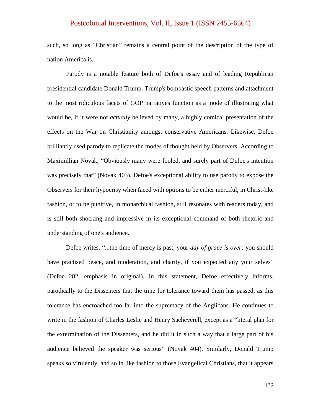such, so long as "Christian" remains a central point of the description of the type of nation America is.

Parody is a notable feature both of Defoe's essay and of leading Republican presidential candidate Donald Trump. Trump's bombastic speech patterns and attachment to the most ridiculous facets of GOP narratives function as a mode of illustrating what would be, if it were not *actually* believed by many, a highly comical presentation of the effects on the War on Christianity amongst conservative Americans. Likewise, Defoe brilliantly used parody to replicate the modes of thought held by Observers. According to Maximillian Novak, "Obviously many were fooled, and surely part of Defoe's intention was precisely that" (Novak 403). Defoe's exceptional ability to use parody to expose the Observers for their hypocrisy when faced with options to be either merciful, in Christ-like fashion, or to be punitive, in monarchical fashion, still resonates with readers today, and is still both shocking and impressive in its exceptional command of both rhetoric and understanding of one's audience.

Defoe writes, "...the time of mercy is past, your *day of grace is over;* you should have practised peace, and moderation, and charity, if you expected any your selves" (Defoe 282, emphasis in original). In this statement, Defoe effectively informs, parodically to the Dissenters that the time for tolerance toward them has passed, as this tolerance has encroached too far into the supremacy of the Anglicans. He continues to write in the fashion of Charles Leslie and Henry Sacheverell, except as a "literal plan for the extermination of the Dissenters, and he did it in such a way that a large part of his audience believed the speaker was serious" (Novak 404). Similarly, Donald Trump speaks so virulently, and so in like fashion to those Evangelical Christians, that it appears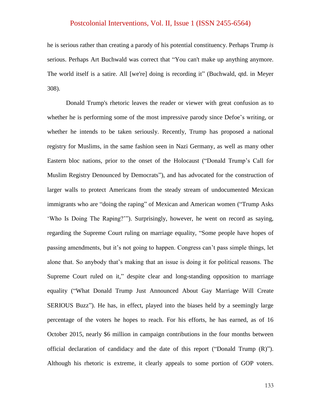he is serious rather than creating a parody of his potential constituency. Perhaps Trump *is* serious. Perhaps Art Buchwald was correct that "You can't make up anything anymore. The world itself is a satire. All [we're] doing is recording it" (Buchwald, qtd. in Meyer 308).

Donald Trump's rhetoric leaves the reader or viewer with great confusion as to whether he is performing some of the most impressive parody since Defoe"s writing, or whether he intends to be taken seriously. Recently, Trump has proposed a national registry for Muslims, in the same fashion seen in Nazi Germany, as well as many other Eastern bloc nations, prior to the onset of the Holocaust ("Donald Trump"s Call for Muslim Registry Denounced by Democrats"), and has advocated for the construction of larger walls to protect Americans from the steady stream of undocumented Mexican immigrants who are "doing the raping" of Mexican and American women ("Trump Asks "Who Is Doing The Raping?""). Surprisingly, however, he went on record as saying, regarding the Supreme Court ruling on marriage equality, "Some people have hopes of passing amendments, but it's not going to happen. Congress can't pass simple things, let alone that. So anybody that's making that an issue is doing it for political reasons. The Supreme Court ruled on it," despite clear and long-standing opposition to marriage equality ("What Donald Trump Just Announced About Gay Marriage Will Create SERIOUS Buzz"). He has, in effect, played into the biases held by a seemingly large percentage of the voters he hopes to reach. For his efforts, he has earned, as of 16 October 2015, nearly \$6 million in campaign contributions in the four months between official declaration of candidacy and the date of this report ("Donald Trump (R)"). Although his rhetoric is extreme, it clearly appeals to some portion of GOP voters.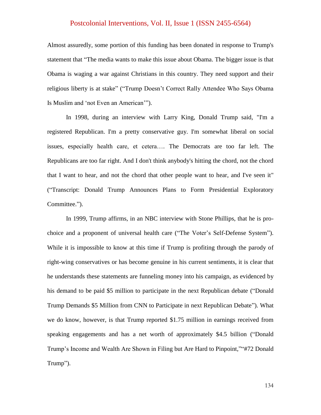Almost assuredly, some portion of this funding has been donated in response to Trump's statement that "The media wants to make this issue about Obama. The bigger issue is that Obama is waging a war against Christians in this country. They need support and their religious liberty is at stake" ("Trump Doesn"t Correct Rally Attendee Who Says Obama Is Muslim and "not Even an American"").

In 1998, during an interview with Larry King, Donald Trump said, "I'm a registered Republican. I'm a pretty conservative guy. I'm somewhat liberal on social issues, especially health care, et cetera…. The Democrats are too far left. The Republicans are too far right. And I don't think anybody's hitting the chord, not the chord that I want to hear, and not the chord that other people want to hear, and I've seen it" ("Transcript: Donald Trump Announces Plans to Form Presidential Exploratory Committee.").

In 1999, Trump affirms, in an NBC interview with Stone Phillips, that he is prochoice and a proponent of universal health care ("The Voter"s Self-Defense System"). While it is impossible to know at this time if Trump is profiting through the parody of right-wing conservatives or has become genuine in his current sentiments, it is clear that he understands these statements are funneling money into his campaign, as evidenced by his demand to be paid \$5 million to participate in the next Republican debate ("Donald Trump Demands \$5 Million from CNN to Participate in next Republican Debate"). What we do know, however, is that Trump reported \$1.75 million in earnings received from speaking engagements and has a net worth of approximately \$4.5 billion ("Donald Trump"s Income and Wealth Are Shown in Filing but Are Hard to Pinpoint,""#72 Donald Trump").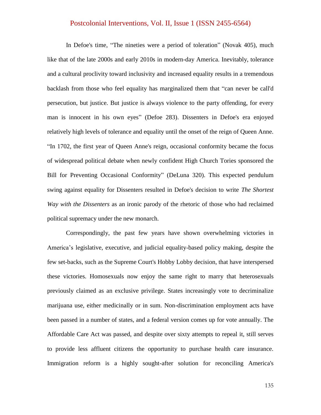In Defoe's time, "The nineties were a period of toleration" (Novak 405), much like that of the late 2000s and early 2010s in modern-day America. Inevitably, tolerance and a cultural proclivity toward inclusivity and increased equality results in a tremendous backlash from those who feel equality has marginalized them that "can never be call'd persecution, but justice. But justice is always violence to the party offending, for every man is innocent in his own eyes" (Defoe 283). Dissenters in Defoe's era enjoyed relatively high levels of tolerance and equality until the onset of the reign of Queen Anne. "In 1702, the first year of Queen Anne's reign, occasional conformity became the focus of widespread political debate when newly confident High Church Tories sponsored the Bill for Preventing Occasional Conformity" (DeLuna 320). This expected pendulum swing against equality for Dissenters resulted in Defoe's decision to write *The Shortest Way with the Dissenters* as an ironic parody of the rhetoric of those who had reclaimed political supremacy under the new monarch.

Correspondingly, the past few years have shown overwhelming victories in America"s legislative, executive, and judicial equality-based policy making, despite the few set-backs, such as the Supreme Court's Hobby Lobby decision, that have interspersed these victories. Homosexuals now enjoy the same right to marry that heterosexuals previously claimed as an exclusive privilege. States increasingly vote to decriminalize marijuana use, either medicinally or in sum. Non-discrimination employment acts have been passed in a number of states, and a federal version comes up for vote annually. The Affordable Care Act was passed, and despite over sixty attempts to repeal it, still serves to provide less affluent citizens the opportunity to purchase health care insurance. Immigration reform is a highly sought-after solution for reconciling America's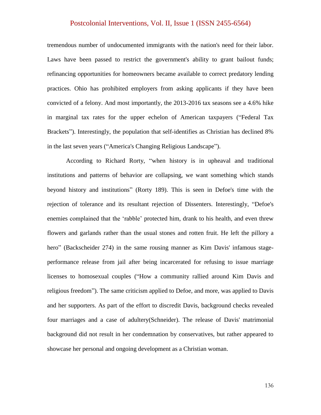tremendous number of undocumented immigrants with the nation's need for their labor. Laws have been passed to restrict the government's ability to grant bailout funds; refinancing opportunities for homeowners became available to correct predatory lending practices. Ohio has prohibited employers from asking applicants if they have been convicted of a felony. And most importantly, the 2013-2016 tax seasons see a 4.6% hike in marginal tax rates for the upper echelon of American taxpayers ("Federal Tax Brackets"). Interestingly, the population that self-identifies as Christian has declined 8% in the last seven years ("America's Changing Religious Landscape").

According to Richard Rorty, "when history is in upheaval and traditional institutions and patterns of behavior are collapsing, we want something which stands beyond history and institutions" (Rorty 189). This is seen in Defoe's time with the rejection of tolerance and its resultant rejection of Dissenters. Interestingly, "Defoe's enemies complained that the "rabble" protected him, drank to his health, and even threw flowers and garlands rather than the usual stones and rotten fruit. He left the pillory a hero" (Backscheider 274) in the same rousing manner as Kim Davis' infamous stageperformance release from jail after being incarcerated for refusing to issue marriage licenses to homosexual couples ("How a community rallied around Kim Davis and religious freedom"). The same criticism applied to Defoe, and more, was applied to Davis and her supporters. As part of the effort to discredit Davis, background checks revealed four marriages and a case of adultery(Schneider). The release of Davis' matrimonial background did not result in her condemnation by conservatives, but rather appeared to showcase her personal and ongoing development as a Christian woman.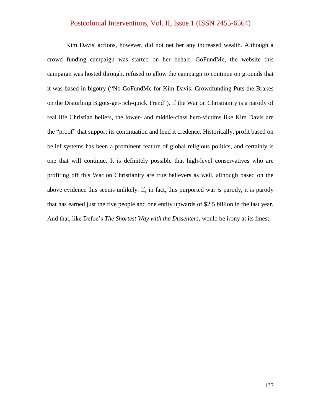Kim Davis' actions, however, did not net her any increased wealth. Although a crowd funding campaign was started on her behalf, GoFundMe, the website this campaign was hosted through, refused to allow the campaign to continue on grounds that it was based in bigotry ("No GoFundMe for Kim Davis: Crowdfunding Puts the Brakes on the Disturbing Bigots-get-rich-quick Trend"). If the War on Christianity is a parody of real life Christian beliefs, the lower- and middle-class hero-victims like Kim Davis are the "proof" that support its continuation and lend it credence. Historically, profit based on belief systems has been a prominent feature of global religious politics, and certainly is one that will continue. It is definitely possible that high-level conservatives who are profiting off this War on Christianity are true believers as well, although based on the above evidence this seems unlikely. If, in fact, this purported war *is* parody, it is parody that has earned just the five people and one entity upwards of \$2.5 billion in the last year. And that, like Defoe"s *The Shortest Way with the Dissenters*, would be irony at its finest.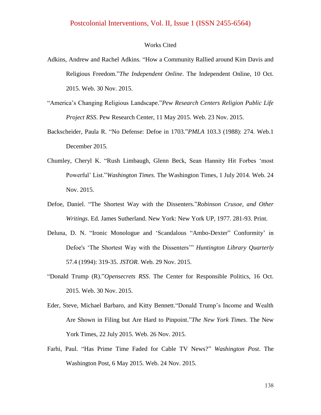#### Works Cited

- Adkins, Andrew and Rachel Adkins. "How a Community Rallied around Kim Davis and Religious Freedom."*The Independent Online*. The Independent Online, 10 Oct. 2015. Web. 30 Nov. 2015.
- "America"s Changing Religious Landscape."*Pew Research Centers Religion Public Life Project RSS*. Pew Research Center, 11 May 2015. Web. 23 Nov. 2015.
- Backscheider, Paula R. "No Defense: Defoe in 1703."*PMLA* 103.3 (1988): 274. Web.1 December 2015.
- Chumley, Cheryl K. "Rush Limbaugh, Glenn Beck, Sean Hannity Hit Forbes "most Powerful" List."*Washington Times*. The Washington Times, 1 July 2014. Web. 24 Nov. 2015.
- Defoe, Daniel. "The Shortest Way with the Dissenters."*Robinson Crusoe, and Other Writings*. Ed. James Sutherland. New York: New York UP, 1977. 281-93. Print.
- Deluna, D. N. "Ironic Monologue and 'Scandalous "Ambo-Dexter" Conformity' in Defoe's "The Shortest Way with the Dissenters"" *Huntington Library Quarterly* 57.4 (1994): 319-35. *JSTOR*. Web. 29 Nov. 2015.
- "Donald Trump (R)."*Opensecrets RSS*. The Center for Responsible Politics, 16 Oct. 2015. Web. 30 Nov. 2015.
- Eder, Steve, Michael Barbaro, and Kitty Bennett."Donald Trump"s Income and Wealth Are Shown in Filing but Are Hard to Pinpoint."*The New York Times*. The New York Times, 22 July 2015. Web. 26 Nov. 2015.
- Farhi, Paul. "Has Prime Time Faded for Cable TV News?" *Washington Post*. The Washington Post, 6 May 2015. Web. 24 Nov. 2015.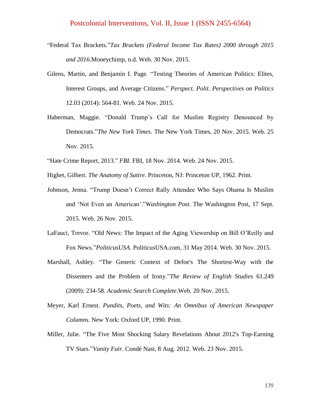- "Federal Tax Brackets."*Tax Brackets (Federal Income Tax Rates) 2000 through 2015 and 2016*.Moneychimp, n.d. Web. 30 Nov. 2015.
- Gilens, Martin, and Benjamin I. Page. "Testing Theories of American Politics: Elites, Interest Groups, and Average Citizens." *Perspect. Polit. Perspectives on Politics* 12.03 (2014): 564-81. Web. 24 Nov. 2015.
- Haberman, Maggie. "Donald Trump"s Call for Muslim Registry Denounced by Democrats."*The New York Times*. The New York Times, 20 Nov. 2015. Web. 25 Nov. 2015.
- "Hate Crime Report, 2013." *FBI*. FBI, 18 Nov. 2014. Web. 24 Nov. 2015.
- Highet, Gilbert. *The Anatomy of Satire*. Princeton, NJ: Princeton UP, 1962. Print.
- Johnson, Jenna. "Trump Doesn"t Correct Rally Attendee Who Says Obama Is Muslim and "Not Even an American"."*Washington Post*. The Washington Post, 17 Sept. 2015. Web. 26 Nov. 2015.
- LaFauci, Trevor. "Old News: The Impact of the Aging Viewership on Bill O"Reilly and Fox News."*PoliticusUSA*. PoliticusUSA.com, 31 May 2014. Web. 30 Nov. 2015.
- Marshall, Ashley. "The Generic Context of Defoe's The Shortest-Way with the Dissenters and the Problem of Irony."*The Review of English Studies* 61.249 (2009): 234-58. *Academic Search Complete*.Web. 20 Nov. 2015.
- Meyer, Karl Ernest. *Pundits, Poets, and Wits: An Omnibus of American Newspaper Columns*. New York: Oxford UP, 1990. Print.
- Miller, Julie. "The Five Most Shocking Salary Revelations About 2012's Top-Earning TV Stars."*Vanity Fair*. Condé Nast, 8 Aug. 2012. Web. 23 Nov. 2015.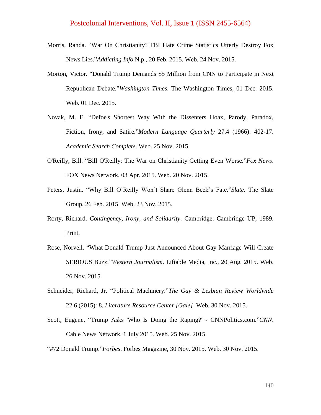- Morris, Randa. "War On Christianity? FBI Hate Crime Statistics Utterly Destroy Fox News Lies."*Addicting Info*.N.p., 20 Feb. 2015. Web. 24 Nov. 2015.
- Morton, Victor. "Donald Trump Demands \$5 Million from CNN to Participate in Next Republican Debate."*Washington Times*. The Washington Times, 01 Dec. 2015. Web. 01 Dec. 2015.
- Novak, M. E. "Defoe's Shortest Way With the Dissenters Hoax, Parody, Paradox, Fiction, Irony, and Satire."*Modern Language Quarterly* 27.4 (1966): 402-17. *Academic Search Complete*. Web. 25 Nov. 2015.
- O'Reilly, Bill. "Bill O'Reilly: The War on Christianity Getting Even Worse."*Fox News*. FOX News Network, 03 Apr. 2015. Web. 20 Nov. 2015.
- Peters, Justin. "Why Bill O"Reilly Won"t Share Glenn Beck"s Fate."*Slate*. The Slate Group, 26 Feb. 2015. Web. 23 Nov. 2015.
- Rorty, Richard. *Contingency, Irony, and Solidarity*. Cambridge: Cambridge UP, 1989. Print.
- Rose, Norvell. "What Donald Trump Just Announced About Gay Marriage Will Create SERIOUS Buzz."*Western Journalism*. Liftable Media, Inc., 20 Aug. 2015. Web. 26 Nov. 2015.
- Schneider, Richard, Jr. "Political Machinery."*The Gay & Lesbian Review Worldwide* 22.6 (2015): 8. *Literature Resource Center [Gale]*. Web. 30 Nov. 2015.
- Scott, Eugene. "Trump Asks 'Who Is Doing the Raping?' CNNPolitics.com."*CNN*. Cable News Network, 1 July 2015. Web. 25 Nov. 2015.
- "#72 Donald Trump."*Forbes*. Forbes Magazine, 30 Nov. 2015. Web. 30 Nov. 2015.